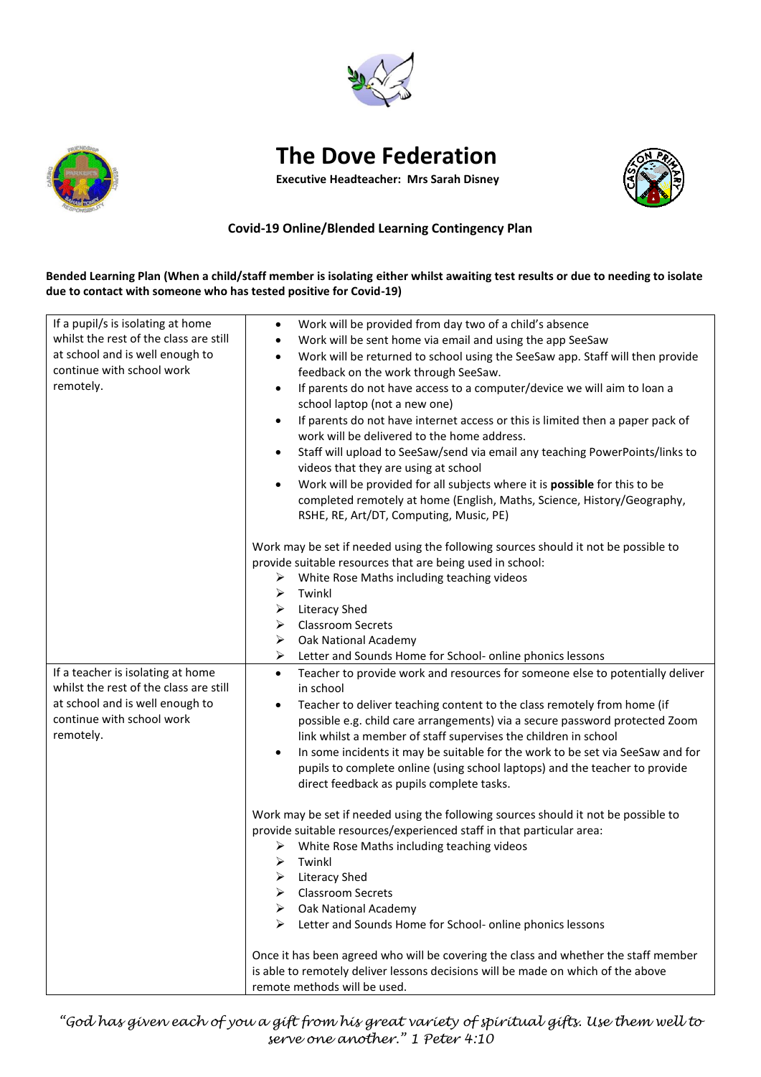



## **The Dove Federation**

**Executive Headteacher: Mrs Sarah Disney**



## **Covid-19 Online/Blended Learning Contingency Plan**

**Bended Learning Plan (When a child/staff member is isolating either whilst awaiting test results or due to needing to isolate due to contact with someone who has tested positive for Covid-19)**

| If a pupil/s is isolating at home      | Work will be provided from day two of a child's absence<br>$\bullet$                        |
|----------------------------------------|---------------------------------------------------------------------------------------------|
| whilst the rest of the class are still | Work will be sent home via email and using the app SeeSaw<br>$\bullet$                      |
| at school and is well enough to        | Work will be returned to school using the SeeSaw app. Staff will then provide<br>$\bullet$  |
| continue with school work              | feedback on the work through SeeSaw.                                                        |
| remotely.                              | If parents do not have access to a computer/device we will aim to loan a<br>$\bullet$       |
|                                        |                                                                                             |
|                                        | school laptop (not a new one)                                                               |
|                                        | If parents do not have internet access or this is limited then a paper pack of<br>$\bullet$ |
|                                        | work will be delivered to the home address.                                                 |
|                                        | Staff will upload to SeeSaw/send via email any teaching PowerPoints/links to<br>$\bullet$   |
|                                        | videos that they are using at school                                                        |
|                                        | Work will be provided for all subjects where it is possible for this to be<br>$\bullet$     |
|                                        | completed remotely at home (English, Maths, Science, History/Geography,                     |
|                                        | RSHE, RE, Art/DT, Computing, Music, PE)                                                     |
|                                        | Work may be set if needed using the following sources should it not be possible to          |
|                                        | provide suitable resources that are being used in school:                                   |
|                                        | White Rose Maths including teaching videos<br>➤                                             |
|                                        | ➤<br>Twinkl                                                                                 |
|                                        | <b>Literacy Shed</b><br>➤                                                                   |
|                                        | <b>Classroom Secrets</b><br>➤                                                               |
|                                        | Oak National Academy<br>➤                                                                   |
|                                        | Letter and Sounds Home for School- online phonics lessons<br>➤                              |
| If a teacher is isolating at home      | Teacher to provide work and resources for someone else to potentially deliver<br>$\bullet$  |
| whilst the rest of the class are still | in school                                                                                   |
| at school and is well enough to        | Teacher to deliver teaching content to the class remotely from home (if<br>$\bullet$        |
| continue with school work              | possible e.g. child care arrangements) via a secure password protected Zoom                 |
| remotely.                              | link whilst a member of staff supervises the children in school                             |
|                                        | In some incidents it may be suitable for the work to be set via SeeSaw and for<br>$\bullet$ |
|                                        | pupils to complete online (using school laptops) and the teacher to provide                 |
|                                        | direct feedback as pupils complete tasks.                                                   |
|                                        |                                                                                             |
|                                        | Work may be set if needed using the following sources should it not be possible to          |
|                                        | provide suitable resources/experienced staff in that particular area:                       |
|                                        | White Rose Maths including teaching videos<br>➤                                             |
|                                        | Twinkl<br>⋗                                                                                 |
|                                        | ➤<br><b>Literacy Shed</b>                                                                   |
|                                        | <b>Classroom Secrets</b><br>➤                                                               |
|                                        | Oak National Academy                                                                        |
|                                        | Letter and Sounds Home for School- online phonics lessons<br>➤                              |
|                                        |                                                                                             |
|                                        | Once it has been agreed who will be covering the class and whether the staff member         |
|                                        | is able to remotely deliver lessons decisions will be made on which of the above            |
|                                        | remote methods will be used.                                                                |

*"God has given each of you a gift from his great variety of spiritual gifts. Use them well to serve one another." 1 Peter 4:10*